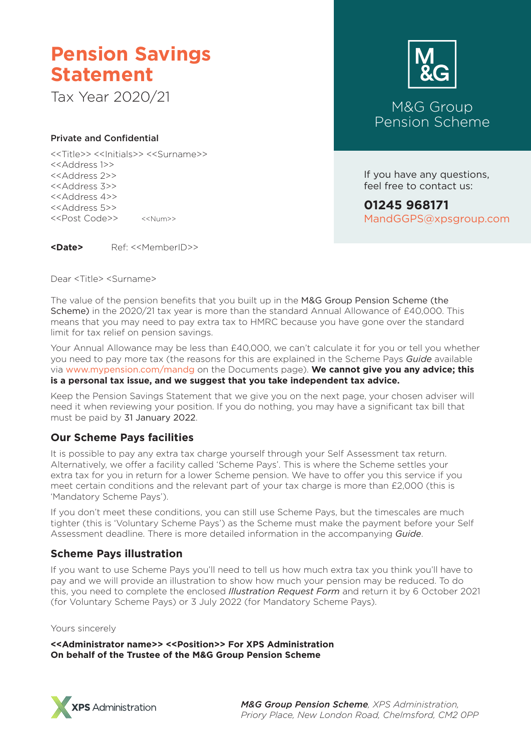# **Pension Savings Statement**

Tax Year 2020/21 M&G Group

### Private and Confidential

<<Title>> <<Initials>> <<Surname>> <<Address 1>> <<Address 2>> <<Address 3>> <<Address 4>> <<Address 5>> <<Post Code>> <<Num>>

**<Date>** Ref: <<MemberID>>

Dear <Title> <Surname>



Pension Scheme

If you have any questions, feel free to contact us:

**01245 968171** MandGGPS@xpsgroup.com

The value of the pension benefits that you built up in the M&G Group Pension Scheme (the Scheme) in the 2020/21 tax year is more than the standard Annual Allowance of £40,000. This means that you may need to pay extra tax to HMRC because you have gone over the standard limit for tax relief on pension savings.

Your Annual Allowance may be less than £40,000, we can't calculate it for you or tell you whether you need to pay more tax (the reasons for this are explained in the Scheme Pays *Guide* available via www.mypension.com/mandg on the Documents page). **We cannot give you any advice; this is a personal tax issue, and we suggest that you take independent tax advice.**

Keep the Pension Savings Statement that we give you on the next page, your chosen adviser will need it when reviewing your position. If you do nothing, you may have a significant tax bill that must be paid by 31 January 2022.

# **Our Scheme Pays facilities**

It is possible to pay any extra tax charge yourself through your Self Assessment tax return. Alternatively, we offer a facility called 'Scheme Pays'. This is where the Scheme settles your extra tax for you in return for a lower Scheme pension. We have to offer you this service if you meet certain conditions and the relevant part of your tax charge is more than £2,000 (this is 'Mandatory Scheme Pays').

If you don't meet these conditions, you can still use Scheme Pays, but the timescales are much tighter (this is 'Voluntary Scheme Pays') as the Scheme must make the payment before your Self Assessment deadline. There is more detailed information in the accompanying *Guide*.

# **Scheme Pays illustration**

If you want to use Scheme Pays you'll need to tell us how much extra tax you think you'll have to pay and we will provide an illustration to show how much your pension may be reduced. To do this, you need to complete the enclosed *Illustration Request Form* and return it by 6 October 2021 (for Voluntary Scheme Pays) or 3 July 2022 (for Mandatory Scheme Pays).

#### Yours sincerely

**<<Administrator name>> <<Position>> For XPS Administration On behalf of the Trustee of the M&G Group Pension Scheme**